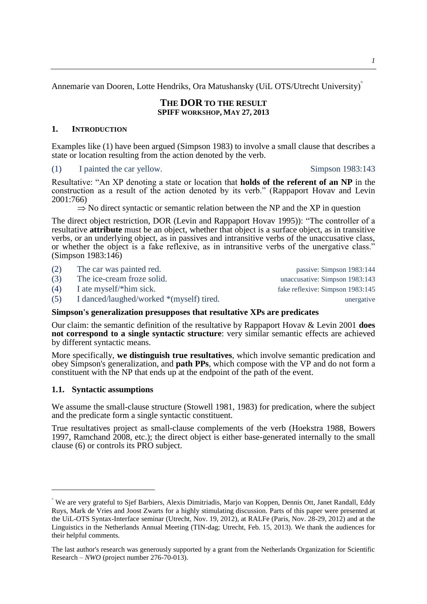Annemarie van Dooren, Lotte Hendriks, Ora Matushansky (UiL OTS/Utrecht University)

### **THE DOR TO THE RESULT SPIFF WORKSHOP, MAY 27, 2013**

# **1. INTRODUCTION**

Examples like [\(1\)](#page-0-0) have been argued [\(Simpson 1983\)](#page-17-0) to involve a small clause that describes a state or location resulting from the action denoted by the verb.

# <span id="page-0-0"></span>(1) I painted the car yellow. Simpson 1983:143

Resultative: "An XP denoting a state or location that **holds of the referent of an NP** in the construction as a result of the action denoted by its verb." [\(Rappaport Hovav and Levin](#page-17-1)  2001:766)

 $\Rightarrow$  No direct syntactic or semantic relation between the NP and the XP in question

The direct object restriction, DOR [\(Levin and Rappaport](#page-16-0) Hovav 1995)): "The controller of a resultative **attribute** must be an object, whether that object is a surface object, as in transitive verbs, or an underlying object, as in passives and intransitive verbs of the unaccusative class, or whether the object is a fake reflexive, as in intransitive verbs of the unergative class." (Simpson 1983:146)

| (2) | The car was painted red.                 | passive: Simpson 1983:144        |
|-----|------------------------------------------|----------------------------------|
| (3) | The ice-cream froze solid.               | unaccusative: Simpson 1983:143   |
| (4) | I ate myself/*him sick.                  | fake reflexive: Simpson 1983:145 |
| (5) | I danced/laughed/worked *(myself) tired. | unergative                       |

# **Simpson's generalization presupposes that resultative XPs are predicates**

Our claim: the semantic definition of the resultative by Rappaport Hovav & Levin 2001 **does not correspond to a single syntactic structure**: very similar semantic effects are achieved by different syntactic means.

More specifically, **we distinguish true resultatives**, which involve semantic predication and obey Simpson's generalization, and **path PPs**, which compose with the VP and do not form a constituent with the NP that ends up at the endpoint of the path of the event.

# **1.1. Syntactic assumptions**

<u>.</u>

We assume the small-clause structure [\(Stowell 1981,](#page-17-2) [1983\)](#page-17-3) for predication, where the subject and the predicate form a single syntactic constituent.

True resultatives project as small-clause complements of the verb [\(Hoekstra 1988,](#page-16-1) [Bowers](#page-15-0)  1997, [Ramchand 2008,](#page-17-4) etc.); the direct object is either base-generated internally to the small clause [\(6\)](#page-1-0) or controls its PRO subject.

We are very grateful to Sjef Barbiers, Alexis Dimitriadis, Marjo van Koppen, Dennis Ott, Janet Randall, Eddy Ruys, Mark de Vries and Joost Zwarts for a highly stimulating discussion. Parts of this paper were presented at the UiL-OTS Syntax-Interface seminar (Utrecht, Nov. 19, 2012), at RALFe (Paris, Nov. 28-29, 2012) and at the Linguistics in the Netherlands Annual Meeting (TIN-dag; Utrecht, Feb. 15, 2013). We thank the audiences for their helpful comments.

The last author's research was generously supported by a grant from the Netherlands Organization for Scientific Research – *NWO* (project number 276-70-013).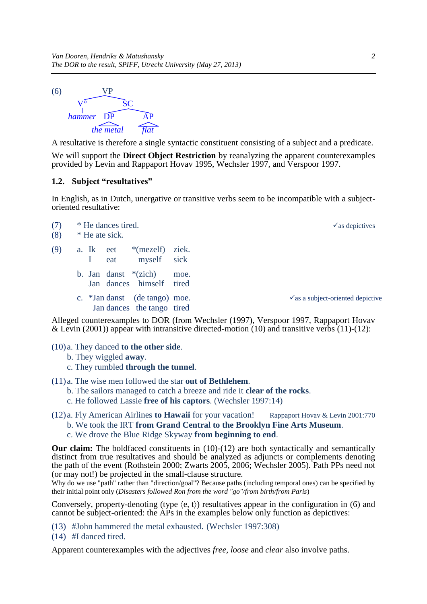<span id="page-1-0"></span> $(6)$ V° SC *hammer* DP AP *the metal flat*

A resultative is therefore a single syntactic constituent consisting of a subject and a predicate.

We will support the **Direct Object Restriction** by reanalyzing the apparent counterexamples provided by Levin and Rappaport Hovav 1995, [Wechsler 1997,](#page-17-5) and Verspoor 1997.

### **1.2. Subject "resultatives"**

In English, as in Dutch, unergative or transitive verbs seem to be incompatible with a subjectoriented resultative:

| (7) |           | * He dances tired. |                               |       |  | $\checkmark$ as depictives                                                          |
|-----|-----------|--------------------|-------------------------------|-------|--|-------------------------------------------------------------------------------------|
| (8) |           | * He ate sick.     |                               |       |  |                                                                                     |
| (9) | a. Ik eet |                    | $*(mezelf)$                   | ziek. |  |                                                                                     |
|     | $\perp$   | eat                | myself sick                   |       |  |                                                                                     |
|     |           |                    | b. Jan danst $*(\text{zich})$ | moe.  |  |                                                                                     |
|     |           |                    | Jan dances himself tired      |       |  |                                                                                     |
|     |           |                    | c. *Jan danst (de tango) moe. |       |  | $\checkmark$ as a subject-oriented depictive                                        |
|     |           |                    | Jan dances the tango tired    |       |  |                                                                                     |
|     |           |                    |                               |       |  | Alleged counterey employ to DOD (from Woobeler (1007) Vergroot 1007 Depressed Hoyay |

Alleged counterexamples to DOR (from Wechsler (1997), [Verspoor 1997,](#page-17-6) Rappaport Hovav & Levin (2001)) appear with intransitive directed-motion [\(10\)](#page-1-1) and transitive verbs [\(11\)](#page-1-2)[-\(12\):](#page-1-3)

### <span id="page-1-1"></span>(10) a. They danced **to the other side**.

- b. They wiggled **away**.
- c. They rumbled **through the tunnel**.
- <span id="page-1-2"></span>(11) a. The wise men followed the star **out of Bethlehem**.
	- b. The sailors managed to catch a breeze and ride it **clear of the rocks**.
	- c. He followed Lassie **free of his captors**. (Wechsler 1997:14)
- <span id="page-1-3"></span>(12) a. Fly American Airlines **to Hawaii** for your vacation! Rappaport Hovav & Levin 2001:770 b. We took the IRT **from Grand Central to the Brooklyn Fine Arts Museum**.
	- c. We drove the Blue Ridge Skyway **from beginning to end**.

**Our claim:** The boldfaced constituents in [\(10\)-](#page-1-1)[\(12\)](#page-1-3) are both syntactically and semantically distinct from true resultatives and should be analyzed as adjuncts or complements denoting the path of the event [\(Rothstein 2000;](#page-17-7) [Zwarts 2005,](#page-17-8) [2006;](#page-17-9) [Wechsler 2005\)](#page-17-10). Path PPs need not (or may not!) be projected in the small-clause structure.

Why do we use "path" rather than "direction/goal"? Because paths (including temporal ones) can be specified by their initial point only (*Disasters followed Ron from the word "go"/from birth/from Paris*)

Conversely, property-denoting (type  $\langle e, t \rangle$ ) resultatives appear in the configuration in [\(6\)](#page-1-0) and cannot be subject-oriented: the APs in the examples below only function as depictives:

- (13) #John hammered the metal exhausted. (Wechsler 1997:308)
- (14) #I danced tired.

Apparent counterexamples with the adjectives *free*, *loose* and *clear* also involve paths.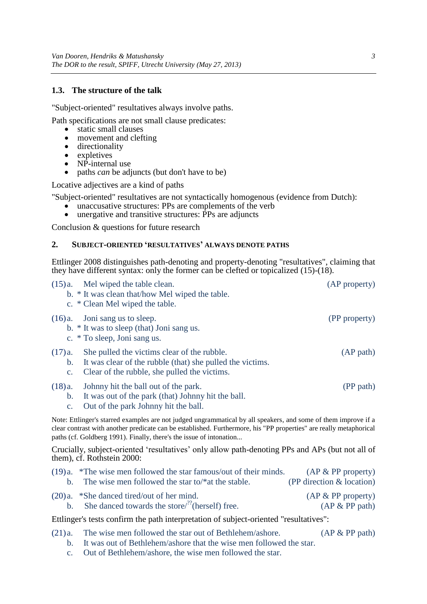### **1.3. The structure of the talk**

"Subject-oriented" resultatives always involve paths.

Path specifications are not small clause predicates:

- static small clauses
- movement and clefting
- directionality
- expletives
- NP-internal use
- paths *can* be adjuncts (but don't have to be)

Locative adjectives are a kind of paths

"Subject-oriented" resultatives are not syntactically homogenous (evidence from Dutch):

- unaccusative structures: PPs are complements of the verb unergative and transitive structures: PPs are adjuncts
- unergative and transitive structures: PPs are adjuncts

Conclusion & questions for future research

#### **2. SUBJECT-ORIENTED 'RESULTATIVES' ALWAYS DENOTE PATHS**

[Ettlinger 2008](#page-16-2) distinguishes path-denoting and property-denoting "resultatives", claiming that they have different syntax: only the former can be clefted or topicalized [\(15\)](#page-2-0)[-\(18\).](#page-2-1)

<span id="page-2-1"></span><span id="page-2-0"></span>

|                                           | $(15)a$ . Mel wiped the table clean.<br>b. * It was clean that/how Mel wiped the table.<br>c. * Clean Mel wiped the table.                                                                                                                                                                                  | (AP property)                                    |
|-------------------------------------------|-------------------------------------------------------------------------------------------------------------------------------------------------------------------------------------------------------------------------------------------------------------------------------------------------------------|--------------------------------------------------|
|                                           | $(16)a$ . Joni sang us to sleep.<br>b. * It was to sleep (that) Joni sangus.<br>c. * To sleep, Joni sangus.                                                                                                                                                                                                 | (PP property)                                    |
| $(17)$ a.<br>$C_{\bullet}$                | She pulled the victims clear of the rubble.<br>b. It was clear of the rubble (that) she pulled the victims.<br>Clear of the rubble, she pulled the victims.                                                                                                                                                 | (AP path)                                        |
| (18)a.<br>$\mathbf{b}$ .<br>$C_{\bullet}$ | Johnny hit the ball out of the park.<br>It was out of the park (that) Johnny hit the ball.<br>Out of the park Johnny hit the ball.                                                                                                                                                                          | (PP path)                                        |
|                                           | Note: Ettlinger's starred examples are not judged ungrammatical by all speakers, and some of them improve if a<br>clear contrast with another predicate can be established. Furthermore, his "PP properties" are really metaphorical<br>paths (cf. Goldberg 1991). Finally, there's the issue of intonation |                                                  |
|                                           | Crucially, subject-oriented 'resultatives' only allow path-denoting PPs and APs (but not all of<br>them), cf. Rothstein 2000:                                                                                                                                                                               |                                                  |
| $\mathbf{b}$ .                            | $(19)a.$ *The wise men followed the star famous/out of their minds.<br>The wise men followed the star to/ $*$ at the stable.                                                                                                                                                                                | $AP & PP$ property)<br>(PP direction & location) |

(20) a. \*She danced tired/out of her mind.  $(AP & PP$  property) b. She danced towards the store/<sup>??</sup>(herself) free. (AP & PP path)

Ettlinger's tests confirm the path interpretation of subject-oriented "resultatives":

- (21) a. The wise men followed the star out of Bethlehem/ashore. (AP & PP path)
	- b. It was out of Bethlehem/ashore that the wise men followed the star.
	- c. Out of Bethlehem/ashore, the wise men followed the star.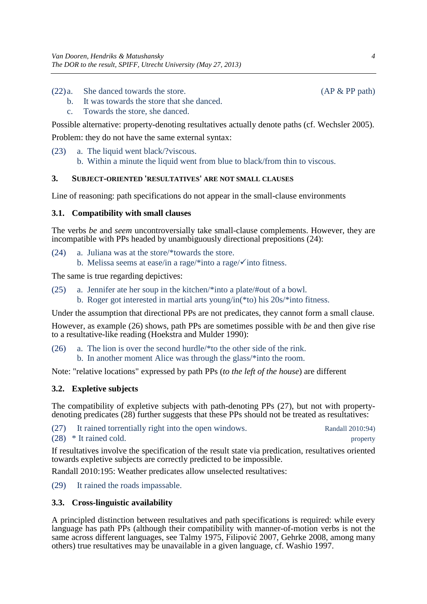- $(22)a$ . She danced towards the store. (AP & PP path)
	- b. It was towards the store that she danced.
	- c. Towards the store, she danced.

Possible alternative: property-denoting resultatives actually denote paths (cf. [Wechsler 2005\)](#page-17-10). Problem: they do not have the same external syntax:

- (23) a. The liquid went black/?viscous.
	- b. Within a minute the liquid went from blue to black/from thin to viscous.

# **3. SUBJECT-ORIENTED 'RESULTATIVES' ARE NOT SMALL CLAUSES**

Line of reasoning: path specifications do not appear in the small-clause environments

### **3.1. Compatibility with small clauses**

The verbs *be* and *seem* uncontroversially take small-clause complements. However, they are incompatible with PPs headed by unambiguously directional prepositions [\(24\):](#page-3-0)

- <span id="page-3-0"></span>(24) a. Juliana was at the store/\*towards the store.
	- b. Melissa seems at ease/in a rage/\*into a rage/ $\checkmark$  into fitness.

The same is true regarding depictives:

(25) a. Jennifer ate her soup in the kitchen/\*into a plate/#out of a bowl. b. Roger got interested in martial arts young/in(\*to) his 20s/\*into fitness.

Under the assumption that directional PPs are not predicates, they cannot form a small clause.

However, as example [\(26\)](#page-3-1) shows, path PPs are sometimes possible with *be* and then give rise to a resultative-like reading [\(Hoekstra and Mulder 1990\)](#page-16-4):

<span id="page-3-1"></span>(26) a. The lion is over the second hurdle/\*to the other side of the rink.

b. In another moment Alice was through the glass/\*into the room.

Note: "relative locations" expressed by path PPs (*to the left of the house*) are different

# **3.2. Expletive subjects**

The compatibility of expletive subjects with path-denoting PPs [\(27\),](#page-3-2) but not with propertydenoting predicates [\(28\)](#page-3-3) further suggests that these PPs should not be treated as resultatives:

<span id="page-3-3"></span><span id="page-3-2"></span>(27) It rained torrentially right into the open windows. [Randall 2010](#page-17-11):94) (28) \* It rained cold. property

If resultatives involve the specification of the result state via predication, resultatives oriented towards expletive subjects are correctly predicted to be impossible.

[Randall 2010:](#page-17-11)195: Weather predicates allow unselected resultatives:

(29) It rained the roads impassable.

# **3.3. Cross-linguistic availability**

A principled distinction between resultatives and path specifications is required: while every language has path PPs (although their compatibility with manner-of-motion verbs is not the same across different languages, see [Talmy 1975,](#page-17-12) [Filipović 2007,](#page-16-5) [Gehrke 2008,](#page-16-6) among many others) true resultatives may be unavailable in a given language, cf. [Washio 1997.](#page-17-13)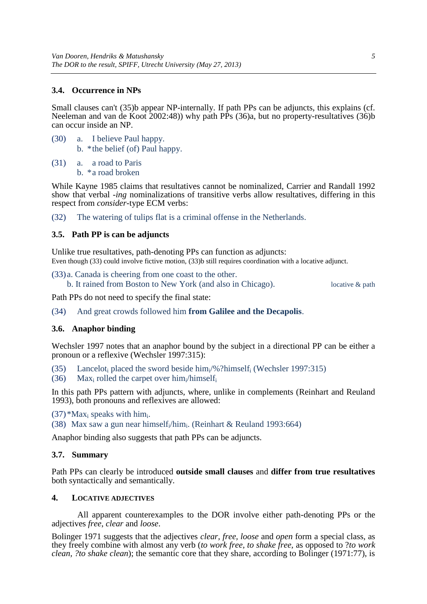### **3.4. Occurrence in NPs**

Small clauses can't [\(35\)b](#page-4-0) appear NP-internally. If path PPs can be adjuncts, this explains (cf. [Neeleman and van de Koot 2002:](#page-16-7)48)) why path PPs [\(36\)a](#page-4-1), but no property-resultatives [\(36\)b](#page-4-1) can occur inside an NP.

<span id="page-4-0"></span>(30) a. I believe Paul happy. b. \*the belief (of) Paul happy.

<span id="page-4-1"></span>(31) a. a road to Paris b. \*a road broken

While [Kayne 1985](#page-16-8) claims that resultatives cannot be nominalized, [Carrier and Randall 1992](#page-15-1) show that verbal *-ing* nominalizations of transitive verbs allow resultatives, differing in this respect from *consider*-type ECM verbs:

(32) The watering of tulips flat is a criminal offense in the Netherlands.

#### **3.5. Path PP is can be adjuncts**

<span id="page-4-2"></span>Unlike true resultatives, path-denoting PPs can function as adjuncts: Even though [\(33\)](#page-4-2) could involve fictive motion, [\(33\)b](#page-4-2) still requires coordination with a locative adjunct.

(33) a. Canada is cheering from one coast to the other.

b. It rained from Boston to New York (and also in Chicago). locative & path

Path PPs do not need to specify the final state:

(34) And great crowds followed him **from Galilee and the Decapolis**.

#### **3.6. Anaphor binding**

Wechsler 1997 notes that an anaphor bound by the subject in a directional PP can be either a pronoun or a reflexive (Wechsler 1997:315):

(35) Lancelot<sub>i</sub> placed the sword beside him<sub>i</sub>/%?himself<sub>i</sub> (Wechsler 1997:315)

(36) Max<sub>i</sub> rolled the carpet over him<sub>i</sub>/himself<sub>i</sub>

In this path PPs pattern with adjuncts, where, unlike in complements [\(Reinhart and Reuland](#page-17-14)  1993), both pronouns and reflexives are allowed:

 $(37)$ <sup>\*</sup>Max<sub>i</sub> speaks with him<sub>i</sub>.

(38) Max saw a gun near himself<sub>i</sub>/him<sub>i</sub>. (Reinhart & Reuland 1993:664)

Anaphor binding also suggests that path PPs can be adjuncts.

#### **3.7. Summary**

Path PPs can clearly be introduced **outside small clauses** and **differ from true resultatives** both syntactically and semantically.

#### **4. LOCATIVE ADJECTIVES**

All apparent counterexamples to the DOR involve either path-denoting PPs or the adjectives *free*, *clear* and *loose*.

[Bolinger 1971](#page-15-2) suggests that the adjectives *clear, free, loose* and *open* form a special class, as they freely combine with almost any verb (*to work free, to shake free,* as opposed to ?*to work clean, ?to shake clean*); the semantic core that they share, according to Bolinger (1971:77), is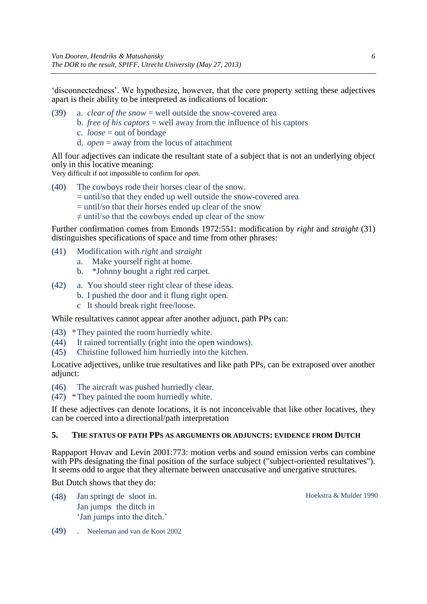'disconnectedness'. We hypothesize, however, that the core property setting these adjectives apart is their ability to be interpreted as indications of location:

- (39) a. *clear of the snow* = well outside the snow-covered area
	- b. *free of his captors* = well away from the influence of his captors
	- c. *loose* = out of bondage
	- d. *open* = away from the locus of attachment

All four adjectives can indicate the resultant state of a subject that is not an underlying object only in this locative meaning:

Very difficult if not impossible to confirm for *open*.

- (40) The cowboys rode their horses clear of the snow.
	- = until/so that they ended up well outside the snow-covered area
	- = until/so that their horses ended up clear of the snow
	- $\neq$  until/so that the cowboys ended up clear of the snow

Further confirmation comes from [Emonds 1972:](#page-16-9)551: modification by *right* and *straight* [\(31\)](#page-5-0) distinguishes specifications of space and time from other phrases:

- <span id="page-5-0"></span>(41) Modification with *right* and *straight*
	- a. Make yourself right at home.
	- b. \*Johnny bought a right red carpet.
- (42) a. You should steer right clear of these ideas.
	- b. I pushed the door and it flung right open.
	- c It should break right free/loose.

While resultatives cannot appear after another adjunct, path PPs can:

- (43) \*They painted the room hurriedly white.
- (44) It rained torrentially (right into the open windows).
- (45) Christine followed him hurriedly into the kitchen.

Locative adjectives, unlike true resultatives and like path PPs, can be extraposed over another adjunct:

(46) The aircraft was pushed hurriedly clear.

(47) \*They painted the room hurriedly white.

If these adjectives can denote locations, it is not inconceivable that like other locatives, they can be coerced into a directional/path interpretation

### **5. THE STATUS OF PATH PPS AS ARGUMENTS OR ADJUNCTS: EVIDENCE FROM DUTCH**

[Rappaport Hovav and Levin 2001:](#page-17-1)773: motion verbs and sound emission verbs can combine with PPs designating the final position of the surface subject ("subject-oriented resultatives"). It seems odd to argue that they alternate between unaccusative and unergative structures.

But Dutch shows that they do:

(48) Jan springt de sloot in. Hoekstra & Mulder 1990 Jan jumps the ditch in 'Jan jumps into the ditch.'

(49) . [Neeleman and van de Koot 2002](#page-16-7)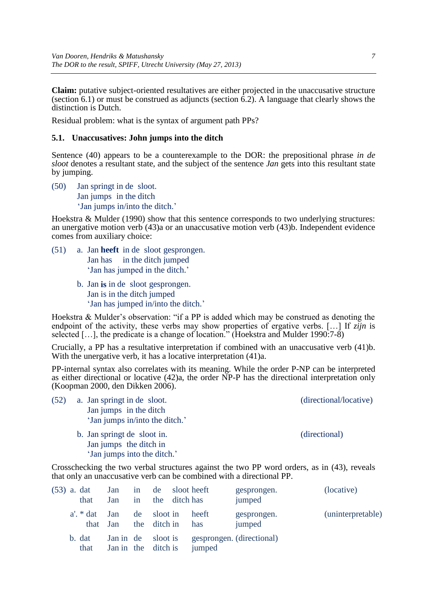**Claim:** putative subject-oriented resultatives are either projected in the unaccusative structure (section [6.1\)](#page-6-0) or must be construed as adjuncts (section  $\overline{6.2}$ ). A language that clearly shows the distinction is Dutch.

Residual problem: what is the syntax of argument path PPs?

# <span id="page-6-0"></span>**5.1. Unaccusatives: John jumps into the ditch**

Sentence [\(40\)](#page-6-1) appears to be a counterexample to the DOR: the prepositional phrase *in de sloot* denotes a resultant state, and the subject of the sentence *Jan* gets into this resultant state by jumping.

<span id="page-6-1"></span>(50) Jan springt in de sloot. Jan jumps in the ditch 'Jan jumps in/into the ditch.'

Hoekstra & Mulder (1990) show that this sentence corresponds to two underlying structures: an unergative motion verb [\(43\)a](#page-6-2) or an unaccusative motion verb [\(43\)b](#page-6-2). Independent evidence comes from auxiliary choice:

- <span id="page-6-3"></span>(51) a. Jan **heeft** in de sloot gesprongen. Jan has in the ditch jumped 'Jan has jumped in the ditch.'
	- b. Jan **is** in de sloot gesprongen. Jan is in the ditch jumped 'Jan has jumped in/into the ditch.'

Hoekstra & Mulder's observation: "if a PP is added which may be construed as denoting the endpoint of the activity, these verbs may show properties of ergative verbs. […] If *zijn* is selected […], the predicate is a change of location." [\(Hoekstra and Mulder 1990:](#page-16-4)7-8)

Crucially, a PP has a resultative interpretation if combined with an unaccusative verb [\(41\)b](#page-6-3). With the unergative verb, it has a locative interpretation  $(41)a$ .

PP-internal syntax also correlates with its meaning. While the order P-NP can be interpreted as either directional or locative [\(42\)a](#page-6-4), the order NP-P has the directional interpretation only [\(Koopman 2000,](#page-16-10) [den Dikken 2006\)](#page-16-11).

- <span id="page-6-4"></span>(52) a. Jan springt in de sloot. (directional/locative) Jan jumps in the ditch 'Jan jumps in/into the ditch.' b. Jan springt de sloot in. (directional)
	- Jan jumps the ditch in 'Jan jumps into the ditch.'

Crosschecking the two verbal structures against the two PP word orders, as in [\(43\),](#page-6-2) reveals that only an unaccusative verb can be combined with a directional PP.

<span id="page-6-2"></span>

| (53) a. dat | that                        | Jan<br>Jan                       | in<br>in | the ditch has               | de sloot heeft | gesprongen.<br>jumped     | (locative)        |
|-------------|-----------------------------|----------------------------------|----------|-----------------------------|----------------|---------------------------|-------------------|
|             | $a'. * dat Jan$<br>that Jan |                                  |          | de sloot in<br>the ditch in | heeft<br>has   | gesprongen.<br>jumped     | (uninterpretable) |
|             | b. dat<br>that              | Jan in de sloot is<br>Jan in the |          | ditch is                    | jumped         | gesprongen. (directional) |                   |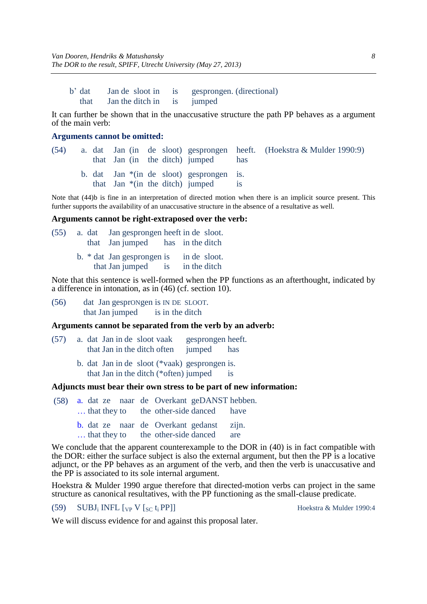b' dat Jan de sloot in is gesprongen. (directional) that Jan the ditch in is jumped

It can further be shown that in the unaccusative structure the path PP behaves as a argument of the main verb:

### **Arguments cannot be omitted:**

<span id="page-7-0"></span>

| (54) |  |  | that Jan (in the ditch) jumped                                                   | has | a. dat Jan (in de sloot) gesprongen heeft. (Hoekstra & Mulder 1990:9) |
|------|--|--|----------------------------------------------------------------------------------|-----|-----------------------------------------------------------------------|
|      |  |  | b. dat Jan $*(in$ de sloot) gesprongen is.<br>that $Jan * (in the ditch)$ jumped |     |                                                                       |

Note that [\(44\)b](#page-7-0) is fine in an interpretation of directed motion when there is an implicit source present. This further supports the availability of an unaccusative structure in the absence of a resultative as well.

#### **Arguments cannot be right-extraposed over the verb:**

| (55) |  | a. dat Jan gesprongen heeft in de sloot. |              |  |
|------|--|------------------------------------------|--------------|--|
|      |  | that Jan jumped has in the ditch         |              |  |
|      |  | b. $*$ dat Jan gesprongen is             | in de sloot. |  |
|      |  | that Jan jumped is                       | in the ditch |  |

Note that this sentence is well-formed when the PP functions as an afterthought, indicated by a difference in intonation, as in [\(46\)](#page-7-1) (cf. section [10\)](#page-12-0).

<span id="page-7-1"></span>(56) dat Jan gesprONgen is IN DE SLOOT. that Jan jumped is in the ditch

### **Arguments cannot be separated from the verb by an adverb:**

- (57) a. dat Jan in de sloot vaak gesprongen heeft. that Jan in the ditch often jumped has
	- b. dat Jan in de sloot (\*vaak) gesprongen is. that Jan in the ditch (\*often) jumped is

#### **Adjuncts must bear their own stress to be part of new information:**

- (58) a. dat ze naar de Overkant geDANST hebben. ... that they to the other-side danced have
	- b. dat ze naar de Overkant gedanst zijn.
	- ... that they to the other-side danced are

We conclude that the apparent counterexample to the DOR in  $(40)$  is in fact compatible with the DOR: either the surface subject is also the external argument, but then the PP is a locative adjunct, or the PP behaves as an argument of the verb, and then the verb is unaccusative and the PP is associated to its sole internal argument.

Hoekstra & Mulder 1990 argue therefore that directed-motion verbs can project in the same structure as canonical resultatives, with the PP functioning as the small-clause predicate.

#### (59) SUBJ<sub>i</sub> INFL  $[\text{VP} \mid \text{SC} \text{t}_i]$  PP]] Hoekstra & Mulder 1990:4

We will discuss evidence for and against this proposal later.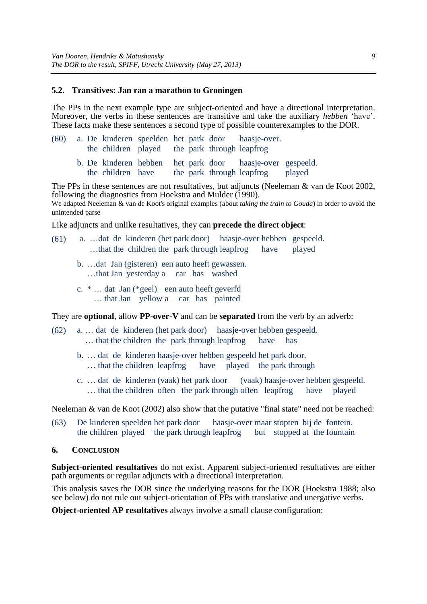#### <span id="page-8-0"></span>**5.2. Transitives: Jan ran a marathon to Groningen**

The PPs in the next example type are subject-oriented and have a directional interpretation. Moreover, the verbs in these sentences are transitive and take the auxiliary *hebben* 'have'. These facts make these sentences a second type of possible counterexamples to the DOR.

| (60) |  |                   | the children played the park through leapfrog |  | a. De kinderen speelden het park door haasje-over.                                     |        |
|------|--|-------------------|-----------------------------------------------|--|----------------------------------------------------------------------------------------|--------|
|      |  | the children have |                                               |  | b. De kinderen hebben het park door haasje-over gespeeld.<br>the park through leapfrog | played |

The PPs in these sentences are not resultatives, but adjuncts (Neeleman & van de Koot 2002, following the diagnostics from Hoekstra and Mulder (1990).

We adapted Neeleman & van de Koot's original examples (about *taking the train to Gouda*) in order to avoid the unintended parse

Like adjuncts and unlike resultatives, they can **precede the direct object**:

- (61) a. …dat de kinderen (het park door) haasje-over hebben gespeeld. …that the children the park through leapfrog have played
	- b. …dat Jan (gisteren) een auto heeft gewassen. …that Jan yesterday a car has washed
	- c. \* … dat Jan (\*geel) een auto heeft geverfd … that Jan yellow a car has painted

They are **optional**, allow **PP-over-V** and can be **separated** from the verb by an adverb:

- (62) a. … dat de kinderen (het park door) haasje-over hebben gespeeld. ... that the children the park through leapfrog have has
	- b. … dat de kinderen haasje-over hebben gespeeld het park door.
		- … that the children leapfrog have played the park through
	- c. … dat de kinderen (vaak) het park door (vaak) haasje-over hebben gespeeld. … that the children often the park through often leapfrog have played

Neeleman & van de Koot (2002) also show that the putative "final state" need not be reached:

- (63) De kinderen speelden het park door haasje-over maar stopten bij de fontein. the children played the park through leapfrog but stopped at the fountain
- **6. CONCLUSION**

**Subject-oriented resultatives** do not exist. Apparent subject-oriented resultatives are either path arguments or regular adjuncts with a directional interpretation.

This analysis saves the DOR since the underlying reasons for the DOR [\(Hoekstra 1988;](#page-16-1) also see below) do not rule out subject-orientation of PPs with translative and unergative verbs.

**Object-oriented AP resultatives** always involve a small clause configuration: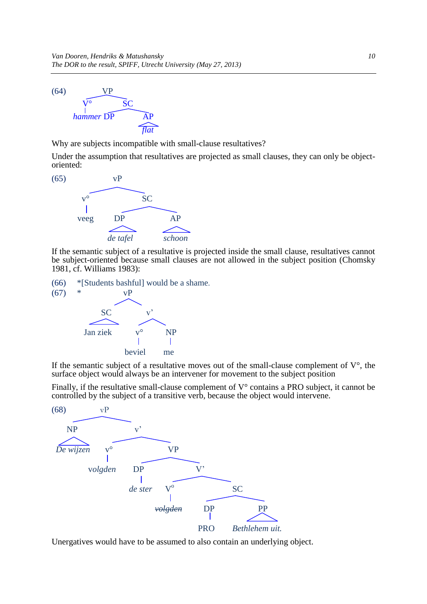

Why are subjects incompatible with small-clause resultatives?

Under the assumption that resultatives are projected as small clauses, they can only be objectoriented:



If the semantic subject of a resultative is projected inside the small clause, resultatives cannot be subject-oriented because small clauses are not allowed in the subject position [\(Chomsky](#page-15-3)  1981, cf. [Williams 1983\)](#page-17-15):

(66) \*[Students bashful] would be a shame.



If the semantic subject of a resultative moves out of the small-clause complement of  $V^{\circ}$ , the surface object would always be an intervener for movement to the subject position

Finally, if the resultative small-clause complement of  $V^{\circ}$  contains a PRO subject, it cannot be controlled by the subject of a transitive verb, because the object would intervene.



Unergatives would have to be assumed to also contain an underlying object.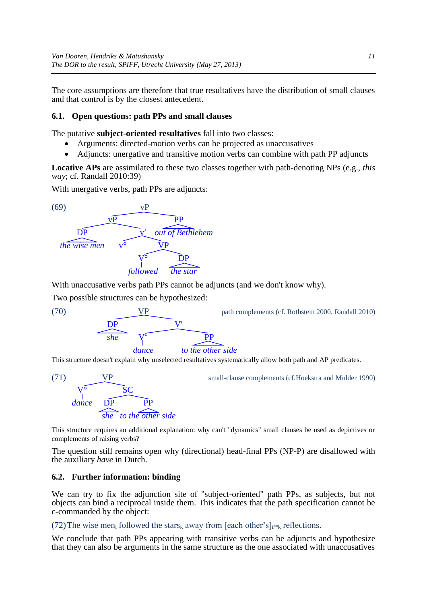The core assumptions are therefore that true resultatives have the distribution of small clauses and that control is by the closest antecedent.

# **6.1. Open questions: path PPs and small clauses**

The putative **subject-oriented resultatives** fall into two classes:

- Arguments: directed-motion verbs can be projected as unaccusatives
- Adjuncts: unergative and transitive motion verbs can combine with path PP adjuncts

**Locative APs** are assimilated to these two classes together with path-denoting NPs (e.g., *this way*; cf. [Randall 2010:](#page-17-11)39)

With unergative verbs, path PPs are adjuncts:



With unaccusative verbs path PPs cannot be adjuncts (and we don't know why).

Two possible structures can be hypothesized:



(70) VP path complements (cf[. Rothstein 2000,](#page-17-7) [Randall 2010\)](#page-17-11)

This structure doesn't explain why unselected resultatives systematically allow both path and AP predicates.



(71) VP small-clause complements (cf[.Hoekstra and Mulder 1990\)](#page-16-4)

This structure requires an additional explanation: why can't "dynamics" small clauses be used as depictives or complements of raising verbs?

The question still remains open why (directional) head-final PPs (NP-P) are disallowed with the auxiliary *have* in Dutch.

#### **6.2. Further information: binding**

We can try to fix the adjunction site of "subject-oriented" path PPs, as subjects, but not objects can bind a reciprocal inside them. This indicates that the path specification cannot be c-commanded by the object:

(72) The wise men<sub>i</sub> followed the stars<sub>k</sub> away from [each other's] $i_{i \nmid k}$  reflections.

We conclude that path PPs appearing with transitive verbs can be adjuncts and hypothesize that they can also be arguments in the same structure as the one associated with unaccusatives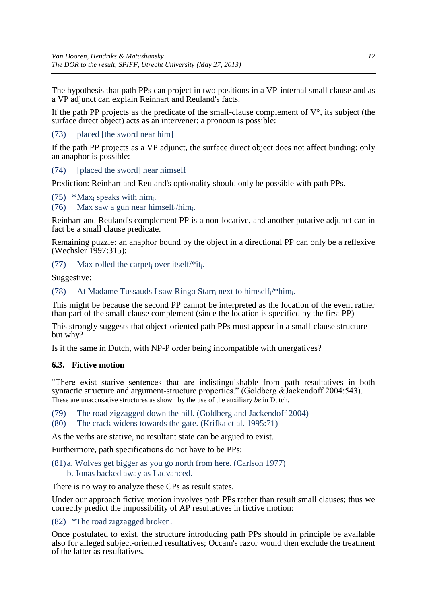The hypothesis that path PPs can project in two positions in a VP-internal small clause and as a VP adjunct can explain Reinhart and Reuland's facts.

If the path PP projects as the predicate of the small-clause complement of  $V^{\circ}$ , its subject (the surface direct object) acts as an intervener: a pronoun is possible:

# (73) placed [the sword near him]

If the path PP projects as a VP adjunct, the surface direct object does not affect binding: only an anaphor is possible:

### (74) [placed the sword] near himself

Prediction: Reinhart and Reuland's optionality should only be possible with path PPs.

(75) \*Max<sub>i</sub> speaks with him<sub>i</sub>.

(76) Max saw a gun near himself<sub>i</sub>/him.

Reinhart and Reuland's complement PP is a non-locative, and another putative adjunct can in fact be a small clause predicate.

Remaining puzzle: an anaphor bound by the object in a directional PP can only be a reflexive (Wechsler 1997:315):

(77) Max rolled the carpet<sub>j</sub> over itself/\*it<sub>j</sub>.

Suggestive:

(78) At Madame Tussauds I saw Ringo Starr<sub>i</sub> next to himself<sub>i</sub>/\*him.

This might be because the second PP cannot be interpreted as the location of the event rather than part of the small-clause complement (since the location is specified by the first PP)

This strongly suggests that object-oriented path PPs must appear in a small-clause structure - but why?

Is it the same in Dutch, with NP-P order being incompatible with unergatives?

# **6.3. Fictive motion**

"There exist stative sentences that are indistinguishable from path resultatives in both syntactic structure and argument-structure properties." (Goldberg &Jackendoff 2004:543). These are unaccusative structures as shown by the use of the auxiliary *be* in Dutch.

(79) The road zigzagged down the hill. [\(Goldberg and Jackendoff 2004\)](#page-16-12)

(80) The crack widens towards the gate. [\(Krifka et al. 1995:71\)](#page-16-13)

As the verbs are stative, no resultant state can be argued to exist.

Furthermore, path specifications do not have to be PPs:

(81) a. Wolves get bigger as you go north from here. [\(Carlson 1977\)](#page-15-4) b. Jonas backed away as I advanced.

There is no way to analyze these CPs as result states.

Under our approach fictive motion involves path PPs rather than result small clauses; thus we correctly predict the impossibility of AP resultatives in fictive motion:

(82) \*The road zigzagged broken.

Once postulated to exist, the structure introducing path PPs should in principle be available also for alleged subject-oriented resultatives; Occam's razor would then exclude the treatment of the latter as resultatives.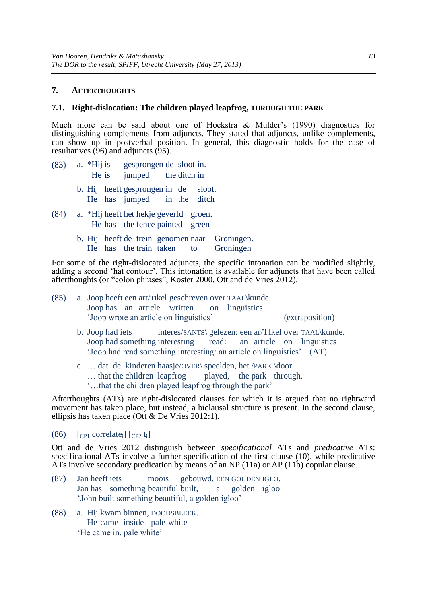### <span id="page-12-0"></span>**7. AFTERTHOUGHTS**

#### **7.1. Right-dislocation: The children played leapfrog, THROUGH THE PARK**

Much more can be said about one of Hoekstra & Mulder's (1990) diagnostics for distinguishing complements from adjuncts. They stated that adjuncts, unlike complements, can show up in postverbal position. In general, this diagnostic holds for the case of resultatives [\(96\)](#page-12-1) and adjuncts [\(95\).](#page-12-2)

- <span id="page-12-2"></span>(83) a. \*Hij is gesprongen de sloot in. He is jumped the ditch in
	- b. Hij heeft gesprongen in de sloot. He has jumped in the ditch
- <span id="page-12-1"></span>(84) a. \*Hij heeft het hekje geverfd groen. He has the fence painted green
	- b. Hij heeft de trein genomen naar Groningen. He has the train taken to Groningen

For some of the right-dislocated adjuncts, the specific intonation can be modified slightly, adding a second 'hat contour'. This intonation is available for adjuncts that have been called afterthoughts (or "colon phrases", [Koster 2000,](#page-16-14) [Ott and de Vries 2012\)](#page-16-15).

|  |  |  |                                           | (85) a. Joop heeft een art/Tikel geschreven over TAAL\kunde. |                 |  |
|--|--|--|-------------------------------------------|--------------------------------------------------------------|-----------------|--|
|  |  |  | Joophas an article written on linguistics |                                                              |                 |  |
|  |  |  | 'Joop wrote an article on linguistics'    |                                                              | (extraposition) |  |

- b. Joop had iets interes/SANTS\ gelezen: een ar/TIkel over TAAL\kunde. Joop had something interesting read: an article on linguistics 'Joop had read something interesting: an article on linguistics' (AT)
- c. … dat de kinderen haasje/OVER\ speelden, het /PARK \door. … that the children leapfrog played, the park through. '…that the children played leapfrog through the park'

Afterthoughts (ATs) are right-dislocated clauses for which it is argued that no rightward movement has taken place, but instead, a biclausal structure is present. In the second clause, ellipsis has taken place (Ott & De Vries 2012:1).

 $(86)$  [CP<sub>1</sub> correlate<sub>i</sub>] [CP<sub>2</sub> t<sub>i</sub>]

[Ott and de Vries 2012](#page-16-15) distinguish between *specificational* ATs and *predicative* ATs: specificational ATs involve a further specification of the first clause (10), while predicative ATs involve secondary predication by means of an NP (11a) or AP (11b) copular clause.

- (87) Jan heeft iets moois gebouwd, EEN GOUDEN IGLO. Jan has something beautiful built, a golden igloo 'John built something beautiful, a golden igloo'
- (88) a. Hij kwam binnen, DOODSBLEEK. He came inside pale-white 'He came in, pale white'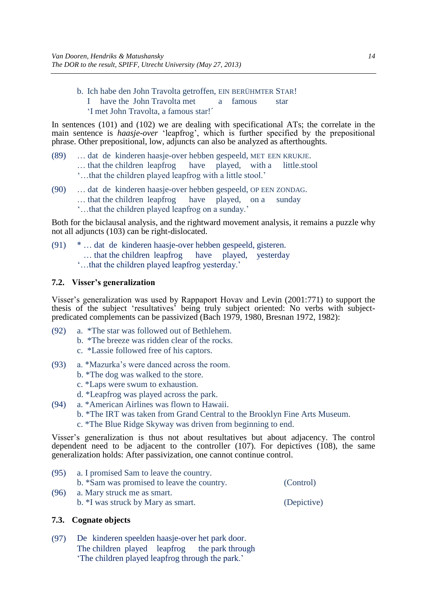b. Ich habe den John Travolta getroffen, EIN BERÜHMTER STAR! I have the John Travolta met a famous star 'I met John Travolta, a famous star!´

In sentences [\(101\)](#page-13-0) and [\(102\)](#page-13-1) we are dealing with specificational ATs; the correlate in the main sentence is *haasje-over* 'leapfrog', which is further specified by the prepositional phrase. Other prepositional, low, adjuncts can also be analyzed as afterthoughts.

- <span id="page-13-0"></span>(89) … dat de kinderen haasje-over hebben gespeeld, MET EEN KRUKJE. … that the children leapfrog have played, with a little.stool '…that the children played leapfrog with a little stool.'
- <span id="page-13-1"></span>(90) … dat de kinderen haasje-over hebben gespeeld, OP EEN ZONDAG. … that the children leapfrog have played, on a sunday '…that the children played leapfrog on a sunday.'

Both for the biclausal analysis, and the rightward movement analysis, it remains a puzzle why not all adjuncts [\(103\)](#page-13-2) can be right-dislocated.

- <span id="page-13-2"></span>(91) \* … dat de kinderen haasje-over hebben gespeeld, gisteren. … that the children leapfrog have played, yesterday
	- '…that the children played leapfrog yesterday.'

# **7.2. Visser's generalization**

Visser's generalization was used by Rappaport Hovav and Levin (2001:771) to support the thesis of the subject 'resultatives' being truly subject oriented: No verbs with subjectpredicated complements can be passivized [\(Bach 1979,](#page-15-5) [1980,](#page-15-6) [Bresnan 1972,](#page-15-7) [1982\)](#page-15-8):

- (92) a. \*The star was followed out of Bethlehem.
	- b. \*The breeze was ridden clear of the rocks.
	- c. \*Lassie followed free of his captors.
- (93) a. \*Mazurka's were danced across the room.
	- b. \*The dog was walked to the store.
	- c. \*Laps were swum to exhaustion.
	- d. \*Leapfrog was played across the park.
- (94) a. \*American Airlines was flown to Hawaii.
	- b. \*The IRT was taken from Grand Central to the Brooklyn Fine Arts Museum.
	- c. \*The Blue Ridge Skyway was driven from beginning to end.

Visser's generalization is thus not about resultatives but about adjacency. The control dependent need to be adjacent to the controller [\(107\).](#page-13-3) For depictives [\(108\),](#page-13-4) the same generalization holds: After passivization, one cannot continue control.

<span id="page-13-4"></span><span id="page-13-3"></span>(95) a. I promised Sam to leave the country. b. \*Sam was promised to leave the country. (Control) (96) a. Mary struck me as smart. b. \*I was struck by Mary as smart. (Depictive)

# **7.3. Cognate objects**

<span id="page-13-5"></span>(97) De kinderen speelden haasje-over het park door. The children played leapfrog the park through 'The children played leapfrog through the park.'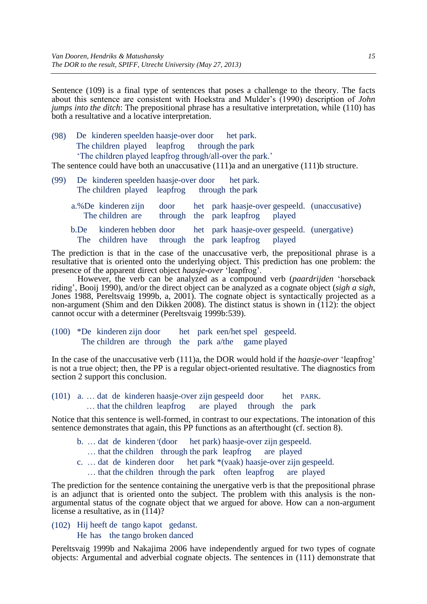Sentence [\(109\)](#page-13-5) is a final type of sentences that poses a challenge to the theory. The facts about this sentence are consistent with Hoekstra and Mulder's (1990) description of *John jumps into the ditch*: The prepositional phrase has a resultative interpretation, while [\(110\)](#page-14-0) has both a resultative and a locative interpretation.

<span id="page-14-0"></span>(98) De kinderen speelden haasje-over door het park. The children played leapfrog through the park 'The children played leapfrog through/all-over the park.'

The sentence could have both an unaccusative  $(111)$  and an unergative  $(111)$ b structure.

<span id="page-14-1"></span>(99) De kinderen speelden haasje-over door het park. The children played leapfrog through the park a. %De kinderen zijn door het park haasje-over gespeeld. (unaccusative) The children are through the park leapfrog played b.De kinderen hebben door het park haasje-over gespeeld. (unergative) The children have through the park leapfrog played

The prediction is that in the case of the unaccusative verb, the prepositional phrase is a resultative that is oriented onto the underlying object. This prediction has one problem: the presence of the apparent direct object *haasje-over* 'leapfrog'.

However, the verb can be analyzed as a compound verb (*paardrijden* 'horseback riding', [Booij 1990\)](#page-15-9), and/or the direct object can be analyzed as a cognate object (*sigh a sigh*, [Jones 1988,](#page-16-16) [Pereltsvaig 1999b,](#page-17-16) [a,](#page-16-17) [2001\)](#page-17-17). The cognate object is syntactically projected as a non-argument [\(Shim and den Dikken 2008\)](#page-17-18). The distinct status is shown in [\(112\):](#page-14-2) the object cannot occur with a determiner [\(Pereltsvaig 1999b:](#page-17-16)539).

<span id="page-14-2"></span>(100) \*De kinderen zijn door het park een/het spel gespeeld. The children are through the park a/the game played

In the case of the unaccusative verb [\(111\)a](#page-14-1), the DOR would hold if the *haasje-over* 'leapfrog' is not a true object; then, the PP is a regular object-oriented resultative. The diagnostics from section 2 support this conclusion.

(101) a. … dat de kinderen haasje-Over zijn gespeeld door het PARK. … that the children leapfrog are played through the park

Notice that this sentence is well-formed, in contrast to our expectations. The intonation of this sentence demonstrates that again, this PP functions as an afterthought (cf. section 8).

- b. ... dat de kinderen (door het park) haasje-over zijn gespeeld.
- … that the children through the park leapfrog are played
- c. … dat de kinderen door het park \*(vaak) haasje-over zijn gespeeld.
	- … that the children through the park often leapfrog are played

The prediction for the sentence containing the unergative verb is that the prepositional phrase is an adjunct that is oriented onto the subject. The problem with this analysis is the nonargumental status of the cognate object that we argued for above. How can a non-argument license a resultative, as in [\(114\)?](#page-14-3)

<span id="page-14-3"></span>(102) Hij heeft de tango kapot gedanst. He has the tango broken danced

[Pereltsvaig 1999b](#page-17-16) and [Nakajima 2006](#page-16-18) have independently argued for two types of cognate objects: Argumental and adverbial cognate objects. The sentences in [\(111\)](#page-14-1) demonstrate that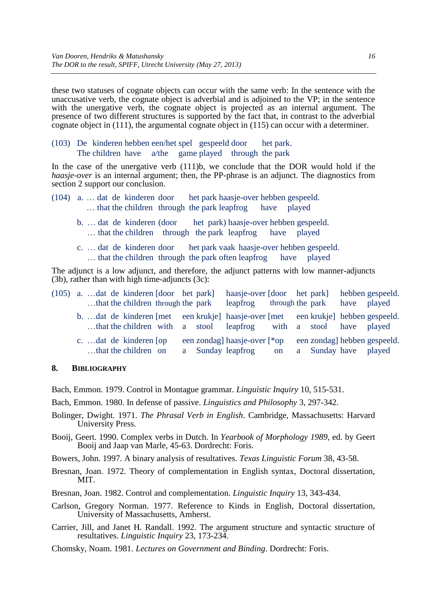these two statuses of cognate objects can occur with the same verb: In the sentence with the unaccusative verb, the cognate object is adverbial and is adjoined to the VP; in the sentence with the unergative verb, the cognate object is projected as an internal argument. The presence of two different structures is supported by the fact that, in contrast to the adverbial cognate object in [\(111\),](#page-14-1) the argumental cognate object in [\(115\)](#page-15-10) can occur with a determiner.

<span id="page-15-10"></span>(103) De kinderen hebben een/het spel gespeeld door het park. The children have a/the game played through the park

In the case of the unergative verb [\(111\)b](#page-14-1), we conclude that the DOR would hold if the *haasje-over* is an internal argument; then, the PP-phrase is an adjunct. The diagnostics from section 2 support our conclusion.

- (104) a. … dat de kinderen door het park haasje-over hebben gespeeld. … that the children through the park leapfrog have played
	- b. ... dat de kinderen (door het park) haasje-over hebben gespeeld. … that the children through the park leapfrog have played
	- c. … dat de kinderen door het park vaak haasje-over hebben gespeeld.
		- … that the children through the park often leapfrog have played

The adjunct is a low adjunct, and therefore, the adjunct patterns with low manner-adjuncts (3b), rather than with high time-adjuncts (3c):

|  |  | $(105)$ a. dat de kinderen [door het park]<br>that the children through the park |  | haasje-over [door het park] hebben gespeeld.<br>leapfrog                                                                                              |           | through the park have played |                              |
|--|--|----------------------------------------------------------------------------------|--|-------------------------------------------------------------------------------------------------------------------------------------------------------|-----------|------------------------------|------------------------------|
|  |  |                                                                                  |  | b. dat de kinderen [met een krukje] haasje-over [met een krukje] hebben gespeeld.<br>that the children with a stool leapfrog with a stool have played |           |                              |                              |
|  |  | c. dat de kinderen [op<br>that the children on                                   |  | een zondag] haasje-over [*op<br>a Sunday leapfrog                                                                                                     | <b>on</b> | a Sunday have played         | een zondag] hebben gespeeld. |

### **8. BIBLIOGRAPHY**

<span id="page-15-5"></span>Bach, Emmon. 1979. Control in Montague grammar. *Linguistic Inquiry* 10, 515-531.

<span id="page-15-6"></span>Bach, Emmon. 1980. In defense of passive. *Linguistics and Philosophy* 3, 297-342.

- <span id="page-15-2"></span>Bolinger, Dwight. 1971. *The Phrasal Verb in English*. Cambridge, Massachusetts: Harvard University Press.
- <span id="page-15-9"></span>Booij, Geert. 1990. Complex verbs in Dutch. In *Yearbook of Morphology 1989*, ed. by Geert Booij and Jaap van Marle, 45-63. Dordrecht: Foris.

<span id="page-15-0"></span>Bowers, John. 1997. A binary analysis of resultatives. *Texas Linguistic Forum* 38, 43-58.

<span id="page-15-7"></span>Bresnan, Joan. 1972. Theory of complementation in English syntax, Doctoral dissertation, MIT.

<span id="page-15-8"></span>Bresnan, Joan. 1982. Control and complementation. *Linguistic Inquiry* 13, 343-434.

<span id="page-15-4"></span>Carlson, Gregory Norman. 1977. Reference to Kinds in English, Doctoral dissertation, University of Massachusetts, Amherst.

<span id="page-15-1"></span>Carrier, Jill, and Janet H. Randall. 1992. The argument structure and syntactic structure of resultatives. *Linguistic Inquiry* 23, 173-234.

<span id="page-15-3"></span>Chomsky, Noam. 1981. *Lectures on Government and Binding*. Dordrecht: Foris.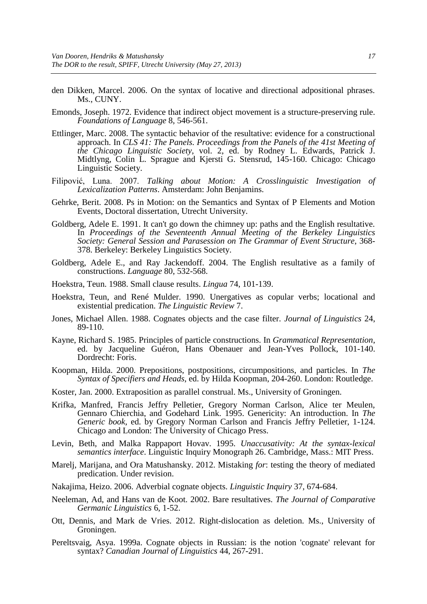- <span id="page-16-11"></span>den Dikken, Marcel. 2006. On the syntax of locative and directional adpositional phrases. Ms., CUNY.
- <span id="page-16-9"></span>Emonds, Joseph. 1972. Evidence that indirect object movement is a structure-preserving rule. *Foundations of Language* 8, 546-561.
- <span id="page-16-2"></span>Ettlinger, Marc. 2008. The syntactic behavior of the resultative: evidence for a constructional approach. In *CLS 41: The Panels. Proceedings from the Panels of the 41st Meeting of the Chicago Linguistic Society*, vol. 2, ed. by Rodney L. Edwards, Patrick J. Midtlyng, Colin L. Sprague and Kjersti G. Stensrud, 145-160. Chicago: Chicago Linguistic Society.
- <span id="page-16-5"></span>Filipović, Luna. 2007. *Talking about Motion: A Crosslinguistic Investigation of Lexicalization Patterns*. Amsterdam: John Benjamins.
- <span id="page-16-6"></span>Gehrke, Berit. 2008. Ps in Motion: on the Semantics and Syntax of P Elements and Motion Events, Doctoral dissertation, Utrecht University.
- <span id="page-16-3"></span>Goldberg, Adele E. 1991. It can't go down the chimney up: paths and the English resultative. In *Proceedings of the Seventeenth Annual Meeting of the Berkeley Linguistics Society: General Session and Parasession on The Grammar of Event Structure*, 368- 378. Berkeley: Berkeley Linguistics Society.
- <span id="page-16-12"></span>Goldberg, Adele E., and Ray Jackendoff. 2004. The English resultative as a family of constructions. *Language* 80, 532-568.
- <span id="page-16-1"></span>Hoekstra, Teun. 1988. Small clause results. *Lingua* 74, 101-139.
- <span id="page-16-4"></span>Hoekstra, Teun, and René Mulder. 1990. Unergatives as copular verbs; locational and existential predication. *The Linguistic Review* 7.
- <span id="page-16-16"></span>Jones, Michael Allen. 1988. Cognates objects and the case filter. *Journal of Linguistics* 24, 89-110.
- <span id="page-16-8"></span>Kayne, Richard S. 1985. Principles of particle constructions. In *Grammatical Representation*, ed. by Jacqueline Guéron, Hans Obenauer and Jean-Yves Pollock, 101-140. Dordrecht: Foris.
- <span id="page-16-10"></span>Koopman, Hilda. 2000. Prepositions, postpositions, circumpositions, and particles. In *The Syntax of Specifiers and Heads*, ed. by Hilda Koopman, 204-260. London: Routledge.
- <span id="page-16-14"></span>Koster, Jan. 2000. Extraposition as parallel construal. Ms., University of Groningen.
- <span id="page-16-13"></span>Krifka, Manfred, Francis Jeffry Pelletier, Gregory Norman Carlson, Alice ter Meulen, Gennaro Chierchia, and Godehard Link. 1995. Genericity: An introduction. In *The Generic book*, ed. by Gregory Norman Carlson and Francis Jeffry Pelletier, 1-124. Chicago and London: The University of Chicago Press.
- <span id="page-16-0"></span>Levin, Beth, and Malka Rappaport Hovav. 1995. *Unaccusativity: At the syntax-lexical semantics interface*. Linguistic Inquiry Monograph 26. Cambridge, Mass.: MIT Press.
- Marelj, Marijana, and Ora Matushansky. 2012. Mistaking *for*: testing the theory of mediated predication. Under revision.
- <span id="page-16-18"></span>Nakajima, Heizo. 2006. Adverbial cognate objects. *Linguistic Inquiry* 37, 674-684.
- <span id="page-16-7"></span>Neeleman, Ad, and Hans van de Koot. 2002. Bare resultatives. *The Journal of Comparative Germanic Linguistics* 6, 1-52.
- <span id="page-16-15"></span>Ott, Dennis, and Mark de Vries. 2012. Right-dislocation as deletion. Ms., University of Groningen.
- <span id="page-16-17"></span>Pereltsvaig, Asya. 1999a. Cognate objects in Russian: is the notion 'cognate' relevant for syntax? *Canadian Journal of Linguistics* 44, 267-291.